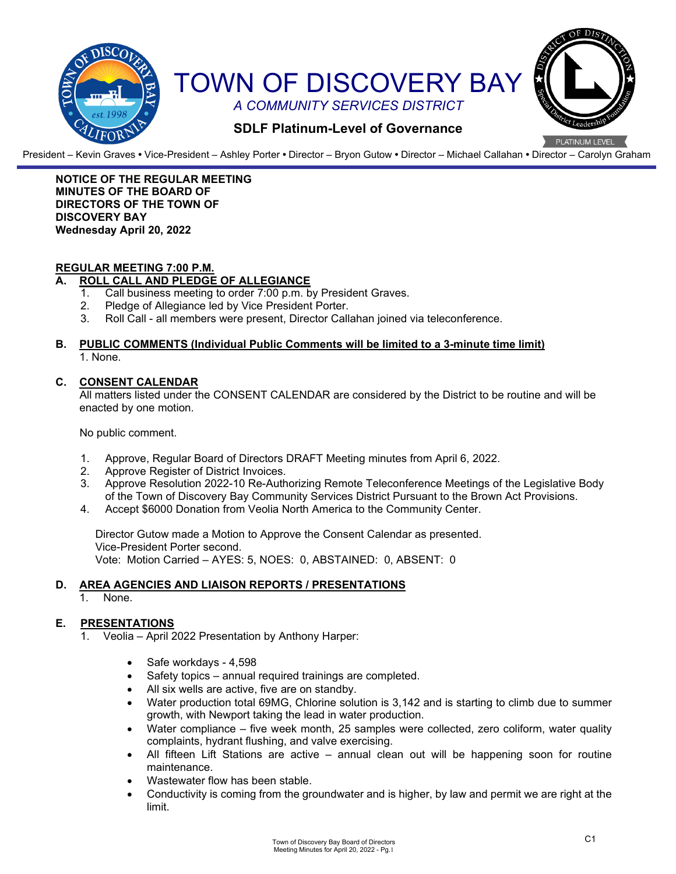

President – Kevin Graves **•** Vice-President – Ashley Porter **•** Director – Bryon Gutow **•** Director – Michael Callahan **•** Director – Carolyn Graham

#### **NOTICE OF THE REGULAR MEETING MINUTES OF THE BOARD OF DIRECTORS OF THE TOWN OF DISCOVERY BAY Wednesday April 20, 2022**

# **REGULAR MEETING 7:00 P.M.**

### **A. ROLL CALL AND PLEDGE OF ALLEGIANCE**

- 1. Call business meeting to order 7:00 p.m. by President Graves.
- 2. Pledge of Allegiance led by Vice President Porter.
- 3. Roll Call all members were present, Director Callahan joined via teleconference.

#### **B. PUBLIC COMMENTS (Individual Public Comments will be limited to a 3-minute time limit)** 1. None.

### **C. CONSENT CALENDAR**

All matters listed under the CONSENT CALENDAR are considered by the District to be routine and will be enacted by one motion.

No public comment.

- 1. Approve, Regular Board of Directors DRAFT Meeting minutes from April 6, 2022.
- 2. Approve Register of District Invoices.
- 3. Approve Resolution 2022-10 Re-Authorizing Remote Teleconference Meetings of the Legislative Body of the Town of Discovery Bay Community Services District Pursuant to the Brown Act Provisions.
- 4. Accept \$6000 Donation from Veolia North America to the Community Center.

Director Gutow made a Motion to Approve the Consent Calendar as presented. Vice-President Porter second. Vote: Motion Carried – AYES: 5, NOES: 0, ABSTAINED: 0, ABSENT: 0

#### **D. AREA AGENCIES AND LIAISON REPORTS / PRESENTATIONS**

1. None.

# **E. PRESENTATIONS**

- Veolia April 2022 Presentation by Anthony Harper:
	- Safe workdays 4,598
	- Safety topics annual required trainings are completed.
	- All six wells are active, five are on standby.
	- Water production total 69MG, Chlorine solution is 3,142 and is starting to climb due to summer growth, with Newport taking the lead in water production.
	- Water compliance five week month, 25 samples were collected, zero coliform, water quality complaints, hydrant flushing, and valve exercising.
	- All fifteen Lift Stations are active annual clean out will be happening soon for routine maintenance.
	- Wastewater flow has been stable.
	- Conductivity is coming from the groundwater and is higher, by law and permit we are right at the limit.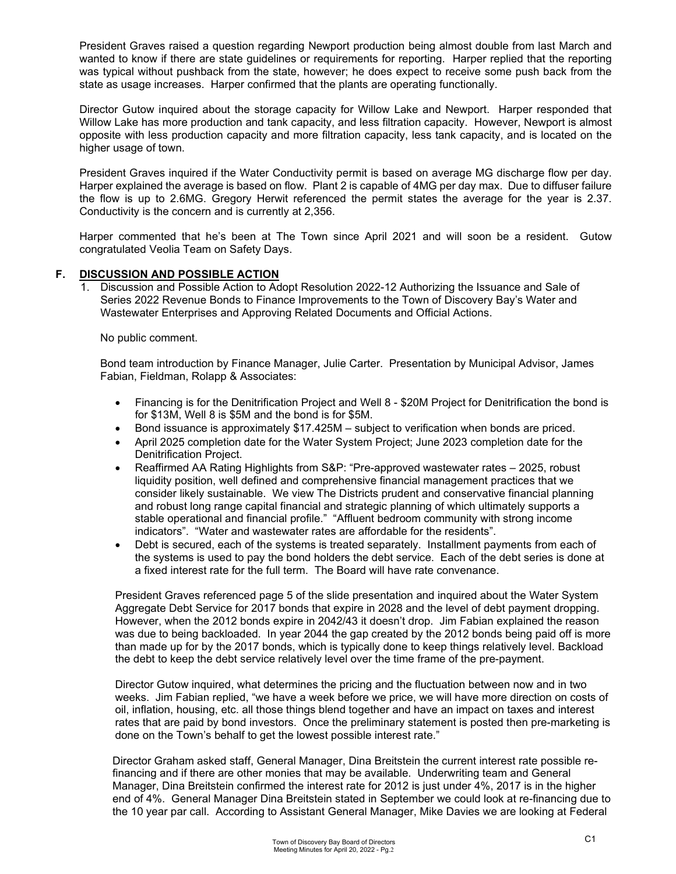President Graves raised a question regarding Newport production being almost double from last March and wanted to know if there are state guidelines or requirements for reporting. Harper replied that the reporting was typical without pushback from the state, however; he does expect to receive some push back from the state as usage increases. Harper confirmed that the plants are operating functionally.

Director Gutow inquired about the storage capacity for Willow Lake and Newport. Harper responded that Willow Lake has more production and tank capacity, and less filtration capacity. However, Newport is almost opposite with less production capacity and more filtration capacity, less tank capacity, and is located on the higher usage of town.

President Graves inquired if the Water Conductivity permit is based on average MG discharge flow per day. Harper explained the average is based on flow. Plant 2 is capable of 4MG per day max. Due to diffuser failure the flow is up to 2.6MG. Gregory Herwit referenced the permit states the average for the year is 2.37. Conductivity is the concern and is currently at 2,356.

Harper commented that he's been at The Town since April 2021 and will soon be a resident. Gutow congratulated Veolia Team on Safety Days.

# **F. DISCUSSION AND POSSIBLE ACTION**

1. Discussion and Possible Action to Adopt Resolution 2022-12 Authorizing the Issuance and Sale of Series 2022 Revenue Bonds to Finance Improvements to the Town of Discovery Bay's Water and Wastewater Enterprises and Approving Related Documents and Official Actions.

No public comment.

Bond team introduction by Finance Manager, Julie Carter. Presentation by Municipal Advisor, James Fabian, Fieldman, Rolapp & Associates:

- Financing is for the Denitrification Project and Well 8 \$20M Project for Denitrification the bond is for \$13M, Well 8 is \$5M and the bond is for \$5M.
- Bond issuance is approximately \$17.425M subject to verification when bonds are priced.
- April 2025 completion date for the Water System Project; June 2023 completion date for the Denitrification Project.
- Reaffirmed AA Rating Highlights from S&P: "Pre-approved wastewater rates 2025, robust liquidity position, well defined and comprehensive financial management practices that we consider likely sustainable. We view The Districts prudent and conservative financial planning and robust long range capital financial and strategic planning of which ultimately supports a stable operational and financial profile." "Affluent bedroom community with strong income indicators". "Water and wastewater rates are affordable for the residents".
- Debt is secured, each of the systems is treated separately. Installment payments from each of the systems is used to pay the bond holders the debt service. Each of the debt series is done at a fixed interest rate for the full term. The Board will have rate convenance.

President Graves referenced page 5 of the slide presentation and inquired about the Water System Aggregate Debt Service for 2017 bonds that expire in 2028 and the level of debt payment dropping. However, when the 2012 bonds expire in 2042/43 it doesn't drop. Jim Fabian explained the reason was due to being backloaded. In year 2044 the gap created by the 2012 bonds being paid off is more than made up for by the 2017 bonds, which is typically done to keep things relatively level. Backload the debt to keep the debt service relatively level over the time frame of the pre-payment.

Director Gutow inquired, what determines the pricing and the fluctuation between now and in two weeks. Jim Fabian replied, "we have a week before we price, we will have more direction on costs of oil, inflation, housing, etc. all those things blend together and have an impact on taxes and interest rates that are paid by bond investors. Once the preliminary statement is posted then pre-marketing is done on the Town's behalf to get the lowest possible interest rate."

Director Graham asked staff, General Manager, Dina Breitstein the current interest rate possible refinancing and if there are other monies that may be available. Underwriting team and General Manager, Dina Breitstein confirmed the interest rate for 2012 is just under 4%, 2017 is in the higher end of 4%. General Manager Dina Breitstein stated in September we could look at re-financing due to the 10 year par call. According to Assistant General Manager, Mike Davies we are looking at Federal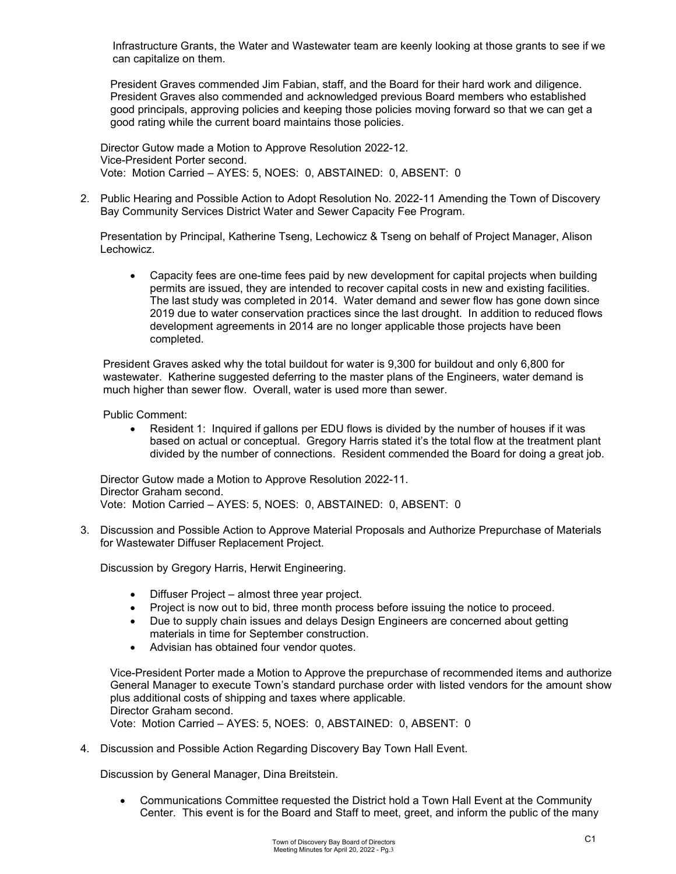Infrastructure Grants, the Water and Wastewater team are keenly looking at those grants to see if we can capitalize on them.

President Graves commended Jim Fabian, staff, and the Board for their hard work and diligence. President Graves also commended and acknowledged previous Board members who established good principals, approving policies and keeping those policies moving forward so that we can get a good rating while the current board maintains those policies.

Director Gutow made a Motion to Approve Resolution 2022-12. Vice-President Porter second. Vote: Motion Carried – AYES: 5, NOES: 0, ABSTAINED: 0, ABSENT: 0

2. Public Hearing and Possible Action to Adopt Resolution No. 2022-11 Amending the Town of Discovery Bay Community Services District Water and Sewer Capacity Fee Program.

Presentation by Principal, Katherine Tseng, Lechowicz & Tseng on behalf of Project Manager, Alison Lechowicz.

• Capacity fees are one-time fees paid by new development for capital projects when building permits are issued, they are intended to recover capital costs in new and existing facilities. The last study was completed in 2014. Water demand and sewer flow has gone down since 2019 due to water conservation practices since the last drought. In addition to reduced flows development agreements in 2014 are no longer applicable those projects have been completed.

President Graves asked why the total buildout for water is 9,300 for buildout and only 6,800 for wastewater. Katherine suggested deferring to the master plans of the Engineers, water demand is much higher than sewer flow. Overall, water is used more than sewer.

Public Comment:

• Resident 1: Inquired if gallons per EDU flows is divided by the number of houses if it was based on actual or conceptual. Gregory Harris stated it's the total flow at the treatment plant divided by the number of connections. Resident commended the Board for doing a great job.

Director Gutow made a Motion to Approve Resolution 2022-11. Director Graham second. Vote: Motion Carried – AYES: 5, NOES: 0, ABSTAINED: 0, ABSENT: 0

3. Discussion and Possible Action to Approve Material Proposals and Authorize Prepurchase of Materials for Wastewater Diffuser Replacement Project.

Discussion by Gregory Harris, Herwit Engineering.

- Diffuser Project almost three year project.
- Project is now out to bid, three month process before issuing the notice to proceed.
- Due to supply chain issues and delays Design Engineers are concerned about getting materials in time for September construction.
- Advisian has obtained four vendor quotes.

Vice-President Porter made a Motion to Approve the prepurchase of recommended items and authorize General Manager to execute Town's standard purchase order with listed vendors for the amount show plus additional costs of shipping and taxes where applicable. Director Graham second.

Vote: Motion Carried – AYES: 5, NOES: 0, ABSTAINED: 0, ABSENT: 0

4. Discussion and Possible Action Regarding Discovery Bay Town Hall Event.

Discussion by General Manager, Dina Breitstein.

• Communications Committee requested the District hold a Town Hall Event at the Community Center. This event is for the Board and Staff to meet, greet, and inform the public of the many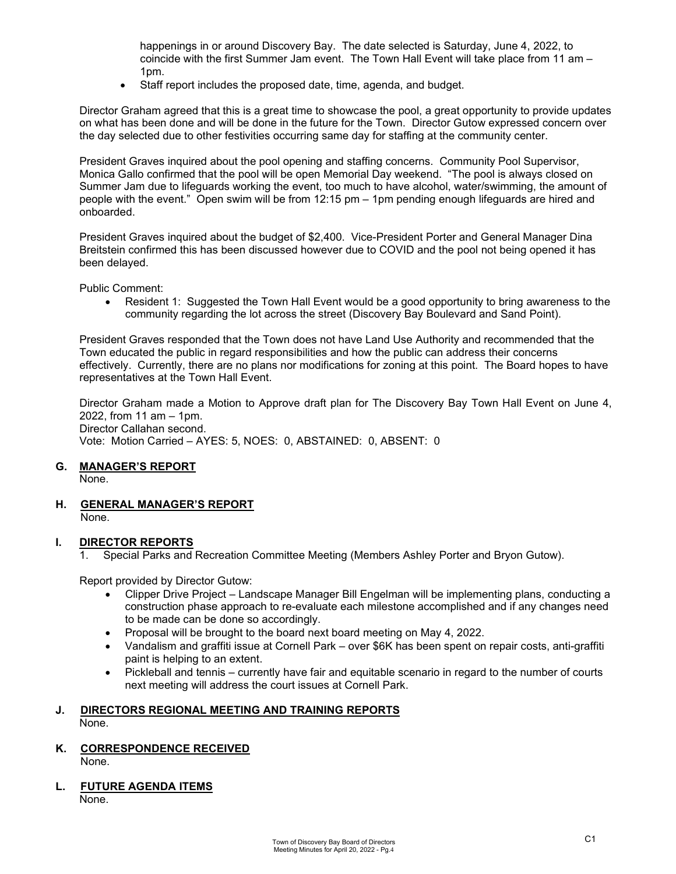happenings in or around Discovery Bay. The date selected is Saturday, June 4, 2022, to coincide with the first Summer Jam event. The Town Hall Event will take place from 11 am – 1pm.

• Staff report includes the proposed date, time, agenda, and budget.

Director Graham agreed that this is a great time to showcase the pool, a great opportunity to provide updates on what has been done and will be done in the future for the Town. Director Gutow expressed concern over the day selected due to other festivities occurring same day for staffing at the community center.

President Graves inquired about the pool opening and staffing concerns. Community Pool Supervisor, Monica Gallo confirmed that the pool will be open Memorial Day weekend. "The pool is always closed on Summer Jam due to lifeguards working the event, too much to have alcohol, water/swimming, the amount of people with the event." Open swim will be from 12:15 pm – 1pm pending enough lifeguards are hired and onboarded.

President Graves inquired about the budget of \$2,400. Vice-President Porter and General Manager Dina Breitstein confirmed this has been discussed however due to COVID and the pool not being opened it has been delayed.

Public Comment:

• Resident 1: Suggested the Town Hall Event would be a good opportunity to bring awareness to the community regarding the lot across the street (Discovery Bay Boulevard and Sand Point).

President Graves responded that the Town does not have Land Use Authority and recommended that the Town educated the public in regard responsibilities and how the public can address their concerns effectively. Currently, there are no plans nor modifications for zoning at this point. The Board hopes to have representatives at the Town Hall Event.

Director Graham made a Motion to Approve draft plan for The Discovery Bay Town Hall Event on June 4, 2022, from 11 am – 1pm. Director Callahan second. Vote: Motion Carried – AYES: 5, NOES: 0, ABSTAINED: 0, ABSENT: 0

# **G. MANAGER'S REPORT**

None.

**H. GENERAL MANAGER'S REPORT** None.

**I. DIRECTOR REPORTS**

1. Special Parks and Recreation Committee Meeting (Members Ashley Porter and Bryon Gutow).

Report provided by Director Gutow:

- Clipper Drive Project Landscape Manager Bill Engelman will be implementing plans, conducting a construction phase approach to re-evaluate each milestone accomplished and if any changes need to be made can be done so accordingly.
- Proposal will be brought to the board next board meeting on May 4, 2022.
- Vandalism and graffiti issue at Cornell Park over \$6K has been spent on repair costs, anti-graffiti paint is helping to an extent.
- Pickleball and tennis currently have fair and equitable scenario in regard to the number of courts next meeting will address the court issues at Cornell Park.

#### **J. DIRECTORS REGIONAL MEETING AND TRAINING REPORTS** None.

- **K. CORRESPONDENCE RECEIVED** None.
- **L. FUTURE AGENDA ITEMS** None.